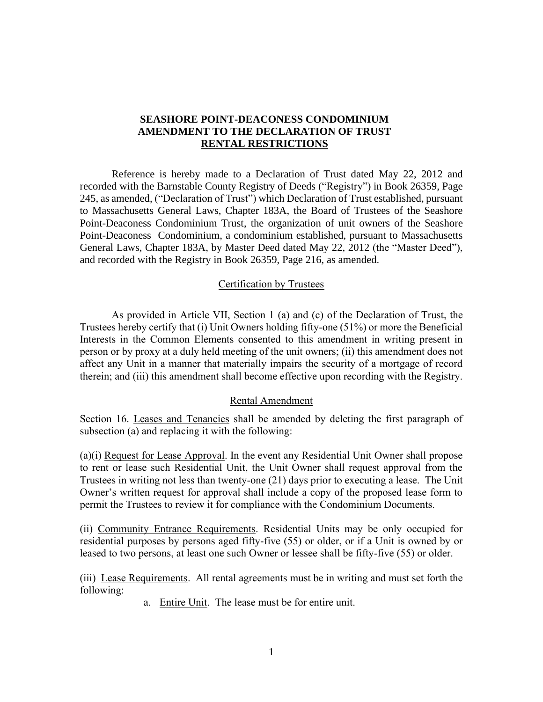## **SEASHORE POINT-DEACONESS CONDOMINIUM AMENDMENT TO THE DECLARATION OF TRUST RENTAL RESTRICTIONS**

Reference is hereby made to a Declaration of Trust dated May 22, 2012 and recorded with the Barnstable County Registry of Deeds ("Registry") in Book 26359, Page 245, as amended, ("Declaration of Trust") which Declaration of Trust established, pursuant to Massachusetts General Laws, Chapter 183A, the Board of Trustees of the Seashore Point-Deaconess Condominium Trust, the organization of unit owners of the Seashore Point-Deaconess Condominium, a condominium established, pursuant to Massachusetts General Laws, Chapter 183A, by Master Deed dated May 22, 2012 (the "Master Deed"), and recorded with the Registry in Book 26359, Page 216, as amended.

#### Certification by Trustees

As provided in Article VII, Section 1 (a) and (c) of the Declaration of Trust, the Trustees hereby certify that (i) Unit Owners holding fifty-one (51%) or more the Beneficial Interests in the Common Elements consented to this amendment in writing present in person or by proxy at a duly held meeting of the unit owners; (ii) this amendment does not affect any Unit in a manner that materially impairs the security of a mortgage of record therein; and (iii) this amendment shall become effective upon recording with the Registry.

#### Rental Amendment

Section 16. Leases and Tenancies shall be amended by deleting the first paragraph of subsection (a) and replacing it with the following:

(a)(i) Request for Lease Approval. In the event any Residential Unit Owner shall propose to rent or lease such Residential Unit, the Unit Owner shall request approval from the Trustees in writing not less than twenty-one (21) days prior to executing a lease. The Unit Owner's written request for approval shall include a copy of the proposed lease form to permit the Trustees to review it for compliance with the Condominium Documents.

(ii) Community Entrance Requirements. Residential Units may be only occupied for residential purposes by persons aged fifty-five (55) or older, or if a Unit is owned by or leased to two persons, at least one such Owner or lessee shall be fifty-five (55) or older.

(iii) Lease Requirements. All rental agreements must be in writing and must set forth the following:

a. Entire Unit. The lease must be for entire unit.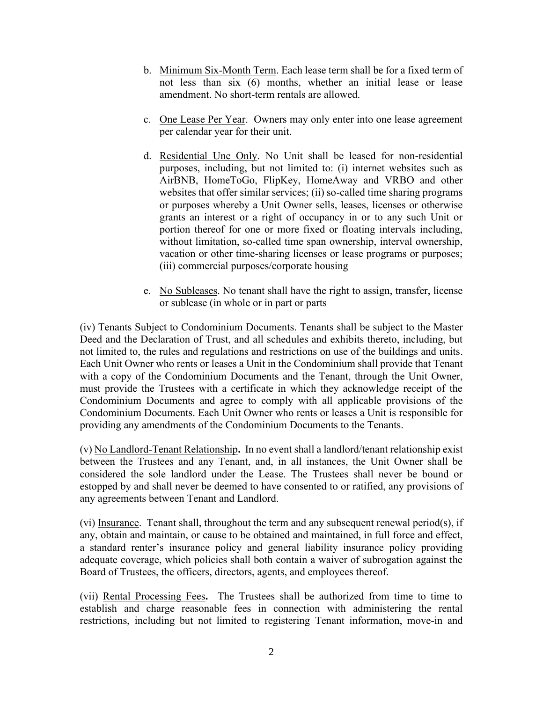- b. Minimum Six-Month Term. Each lease term shall be for a fixed term of not less than six (6) months, whether an initial lease or lease amendment. No short-term rentals are allowed.
- c. One Lease Per Year. Owners may only enter into one lease agreement per calendar year for their unit.
- d. Residential Une Only. No Unit shall be leased for non-residential purposes, including, but not limited to: (i) internet websites such as AirBNB, HomeToGo, FlipKey, HomeAway and VRBO and other websites that offer similar services; (ii) so-called time sharing programs or purposes whereby a Unit Owner sells, leases, licenses or otherwise grants an interest or a right of occupancy in or to any such Unit or portion thereof for one or more fixed or floating intervals including, without limitation, so-called time span ownership, interval ownership, vacation or other time-sharing licenses or lease programs or purposes; (iii) commercial purposes/corporate housing
- e. No Subleases. No tenant shall have the right to assign, transfer, license or sublease (in whole or in part or parts

(iv) Tenants Subject to Condominium Documents. Tenants shall be subject to the Master Deed and the Declaration of Trust, and all schedules and exhibits thereto, including, but not limited to, the rules and regulations and restrictions on use of the buildings and units. Each Unit Owner who rents or leases a Unit in the Condominium shall provide that Tenant with a copy of the Condominium Documents and the Tenant, through the Unit Owner, must provide the Trustees with a certificate in which they acknowledge receipt of the Condominium Documents and agree to comply with all applicable provisions of the Condominium Documents. Each Unit Owner who rents or leases a Unit is responsible for providing any amendments of the Condominium Documents to the Tenants.

(v) No Landlord-Tenant Relationship**.** In no event shall a landlord/tenant relationship exist between the Trustees and any Tenant, and, in all instances, the Unit Owner shall be considered the sole landlord under the Lease. The Trustees shall never be bound or estopped by and shall never be deemed to have consented to or ratified, any provisions of any agreements between Tenant and Landlord.

(vi) Insurance. Tenant shall, throughout the term and any subsequent renewal period(s), if any, obtain and maintain, or cause to be obtained and maintained, in full force and effect, a standard renter's insurance policy and general liability insurance policy providing adequate coverage, which policies shall both contain a waiver of subrogation against the Board of Trustees, the officers, directors, agents, and employees thereof.

(vii) Rental Processing Fees**.** The Trustees shall be authorized from time to time to establish and charge reasonable fees in connection with administering the rental restrictions, including but not limited to registering Tenant information, move-in and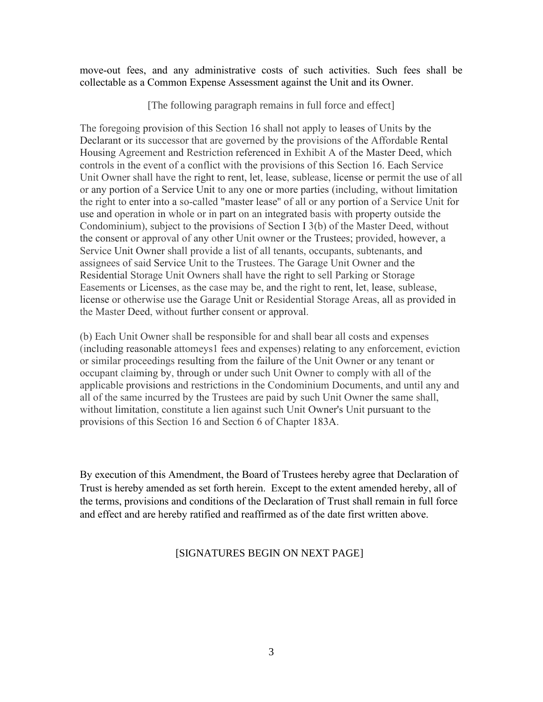move-out fees, and any administrative costs of such activities. Such fees shall be collectable as a Common Expense Assessment against the Unit and its Owner.

[The following paragraph remains in full force and effect]

The foregoing provision of this Section 16 shall not apply to leases of Units by the Declarant or its successor that are governed by the provisions of the Affordable Rental Housing Agreement and Restriction referenced in Exhibit A of the Master Deed, which controls in the event of a conflict with the provisions of this Section 16. Each Service Unit Owner shall have the right to rent, let, lease, sublease, license or permit the use of all or any portion of a Service Unit to any one or more parties (including, without limitation the right to enter into a so-called "master lease'' of all or any portion of a Service Unit for use and operation in whole or in part on an integrated basis with property outside the Condominium), subject to the provisions of Section I 3(b) of the Master Deed, without the consent or approval of any other Unit owner or the Trustees; provided, however, a Service Unit Owner shall provide a list of all tenants, occupants, subtenants, and assignees of said Service Unit to the Trustees. The Garage Unit Owner and the Residential Storage Unit Owners shall have the right to sell Parking or Storage Easements or Licenses, as the case may be, and the right to rent, let, lease, sublease, license or otherwise use the Garage Unit or Residential Storage Areas, all as provided in the Master Deed, without further consent or approval.

(b) Each Unit Owner shall be responsible for and shall bear all costs and expenses (including reasonable attomeys1 fees and expenses) relating to any enforcement, eviction or similar proceedings resulting from the failure of the Unit Owner or any tenant or occupant claiming by, through or under such Unit Owner to comply with all of the applicable provisions and restrictions in the Condominium Documents, and until any and all of the same incurred by the Trustees are paid by such Unit Owner the same shall, without limitation, constitute a lien against such Unit Owner's Unit pursuant to the provisions of this Section 16 and Section 6 of Chapter 183A.

By execution of this Amendment, the Board of Trustees hereby agree that Declaration of Trust is hereby amended as set forth herein. Except to the extent amended hereby, all of the terms, provisions and conditions of the Declaration of Trust shall remain in full force and effect and are hereby ratified and reaffirmed as of the date first written above.

## [SIGNATURES BEGIN ON NEXT PAGE]